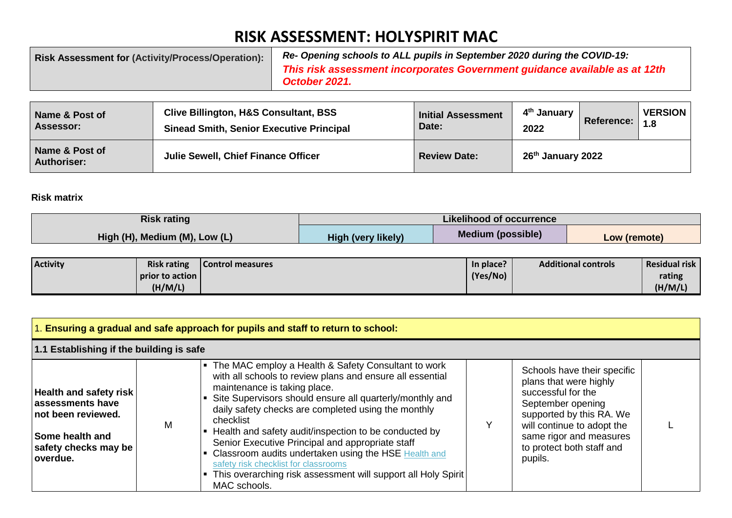## **RISK ASSESSMENT: HOLYSPIRIT MAC**

| <b>Risk Assessment for (Activity/Process/Operation):</b> | Re- Opening schools to ALL pupils in September 2020 during the COVID-19:   |
|----------------------------------------------------------|----------------------------------------------------------------------------|
|                                                          | This risk assessment incorporates Government guidance available as at 12th |
|                                                          | October 2021.                                                              |

| Name & Post of                       | <b>Clive Billington, H&amp;S Consultant, BSS</b> | <b>Initial Assessment</b> | 4 <sup>th</sup> January | <b>Reference:</b> | <b>VERSION</b> |
|--------------------------------------|--------------------------------------------------|---------------------------|-------------------------|-------------------|----------------|
| <b>Assessor:</b>                     | <b>Sinead Smith, Senior Executive Principal</b>  | Date:                     | 2022                    |                   | 1.8            |
| Name & Post of<br><b>Authoriser:</b> | Julie Sewell, Chief Finance Officer              | <b>Review Date:</b>       | 26th January 2022       |                   |                |

## **Risk matrix**

| <b>Risk rating</b>            |                           | Likelihood of occurrence |              |
|-------------------------------|---------------------------|--------------------------|--------------|
| High (H), Medium (M), Low (L) | <b>High (very likely)</b> | <b>Medium (possible)</b> | Low (remote) |

| <b>Activity</b> | <b>Risk rating</b> | Control measures | In place? | <b>Additional controls</b> | <b>Residual risk</b> |
|-----------------|--------------------|------------------|-----------|----------------------------|----------------------|
|                 | prior to action    |                  | (Yes/No)  |                            | rating               |
|                 | (H/M/L)            |                  |           |                            | (H/M/L)              |

| Ensuring a gradual and safe approach for pupils and staff to return to school:                                                        |   |                                                                                                                                                                                                                                                                                                                                                                                                                                                                                                                                                                                  |  |                                                                                                                                                                                                                               |  |
|---------------------------------------------------------------------------------------------------------------------------------------|---|----------------------------------------------------------------------------------------------------------------------------------------------------------------------------------------------------------------------------------------------------------------------------------------------------------------------------------------------------------------------------------------------------------------------------------------------------------------------------------------------------------------------------------------------------------------------------------|--|-------------------------------------------------------------------------------------------------------------------------------------------------------------------------------------------------------------------------------|--|
| 1.1 Establishing if the building is safe                                                                                              |   |                                                                                                                                                                                                                                                                                                                                                                                                                                                                                                                                                                                  |  |                                                                                                                                                                                                                               |  |
| <b>Health and safety risk</b><br>assessments have<br>not been reviewed.<br><b>Some health and</b><br>safety checks may be<br>overdue. | M | • The MAC employ a Health & Safety Consultant to work<br>with all schools to review plans and ensure all essential<br>maintenance is taking place.<br>Site Supervisors should ensure all quarterly/monthly and<br>daily safety checks are completed using the monthly<br>checklist<br>Health and safety audit/inspection to be conducted by<br>Senior Executive Principal and appropriate staff<br>Classroom audits undertaken using the HSE Health and<br>safety risk checklist for classrooms<br>This overarching risk assessment will support all Holy Spirit<br>MAC schools. |  | Schools have their specific<br>plans that were highly<br>successful for the<br>September opening<br>supported by this RA. We<br>will continue to adopt the<br>same rigor and measures<br>to protect both staff and<br>pupils. |  |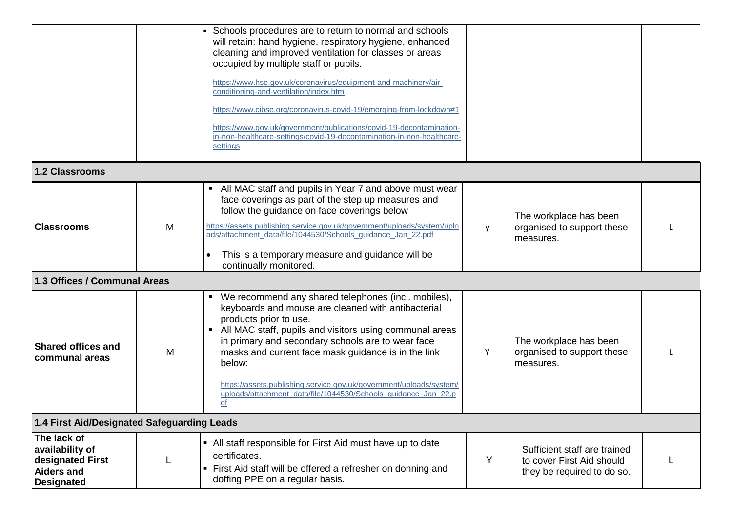|                                                                                              |                                             | • Schools procedures are to return to normal and schools<br>will retain: hand hygiene, respiratory hygiene, enhanced<br>cleaning and improved ventilation for classes or areas<br>occupied by multiple staff or pupils.<br>https://www.hse.gov.uk/coronavirus/equipment-and-machinery/air-<br>conditioning-and-ventilation/index.htm<br>https://www.cibse.org/coronavirus-covid-19/emerging-from-lockdown#1<br>https://www.gov.uk/government/publications/covid-19-decontamination-<br>in-non-healthcare-settings/covid-19-decontamination-in-non-healthcare-<br>settings |   |                                                                                         |  |  |
|----------------------------------------------------------------------------------------------|---------------------------------------------|---------------------------------------------------------------------------------------------------------------------------------------------------------------------------------------------------------------------------------------------------------------------------------------------------------------------------------------------------------------------------------------------------------------------------------------------------------------------------------------------------------------------------------------------------------------------------|---|-----------------------------------------------------------------------------------------|--|--|
| <b>1.2 Classrooms</b>                                                                        |                                             |                                                                                                                                                                                                                                                                                                                                                                                                                                                                                                                                                                           |   |                                                                                         |  |  |
| <b>Classrooms</b>                                                                            | M                                           | • All MAC staff and pupils in Year 7 and above must wear<br>face coverings as part of the step up measures and<br>follow the guidance on face coverings below<br>https://assets.publishing.service.gov.uk/government/uploads/system/uplo<br>ads/attachment_data/file/1044530/Schools_guidance_Jan_22.pdf<br>This is a temporary measure and guidance will be<br>continually monitored.                                                                                                                                                                                    |   | The workplace has been<br>organised to support these<br>measures.                       |  |  |
| 1.3 Offices / Communal Areas                                                                 |                                             |                                                                                                                                                                                                                                                                                                                                                                                                                                                                                                                                                                           |   |                                                                                         |  |  |
| <b>Shared offices and</b><br>communal areas                                                  | M                                           | • We recommend any shared telephones (incl. mobiles),<br>keyboards and mouse are cleaned with antibacterial<br>products prior to use.<br>• All MAC staff, pupils and visitors using communal areas<br>in primary and secondary schools are to wear face<br>masks and current face mask guidance is in the link<br>below:<br>https://assets.publishing.service.gov.uk/government/uploads/system/<br>uploads/attachment_data/file/1044530/Schools_guidance_Jan_22.p<br>df                                                                                                   | Y | The workplace has been<br>organised to support these<br>measures.                       |  |  |
|                                                                                              | 1.4 First Aid/Designated Safeguarding Leads |                                                                                                                                                                                                                                                                                                                                                                                                                                                                                                                                                                           |   |                                                                                         |  |  |
| The lack of<br>availability of<br>designated First<br><b>Aiders and</b><br><b>Designated</b> |                                             | • All staff responsible for First Aid must have up to date<br>certificates.<br>• First Aid staff will be offered a refresher on donning and<br>doffing PPE on a regular basis.                                                                                                                                                                                                                                                                                                                                                                                            | Y | Sufficient staff are trained<br>to cover First Aid should<br>they be required to do so. |  |  |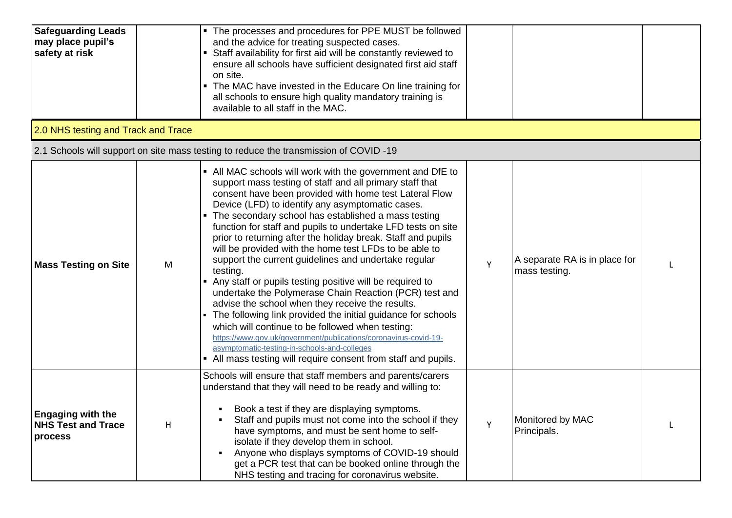| <b>Safeguarding Leads</b><br>may place pupil's<br>safety at risk |   | • The processes and procedures for PPE MUST be followed<br>and the advice for treating suspected cases.<br>Staff availability for first aid will be constantly reviewed to<br>ensure all schools have sufficient designated first aid staff<br>on site.<br>• The MAC have invested in the Educare On line training for<br>all schools to ensure high quality mandatory training is<br>available to all staff in the MAC.                                                                                                                                                                                                                                                                                                                                                                                                                                                                                                                                                                                                                        |   |                                                |  |
|------------------------------------------------------------------|---|-------------------------------------------------------------------------------------------------------------------------------------------------------------------------------------------------------------------------------------------------------------------------------------------------------------------------------------------------------------------------------------------------------------------------------------------------------------------------------------------------------------------------------------------------------------------------------------------------------------------------------------------------------------------------------------------------------------------------------------------------------------------------------------------------------------------------------------------------------------------------------------------------------------------------------------------------------------------------------------------------------------------------------------------------|---|------------------------------------------------|--|
| 2.0 NHS testing and Track and Trace                              |   |                                                                                                                                                                                                                                                                                                                                                                                                                                                                                                                                                                                                                                                                                                                                                                                                                                                                                                                                                                                                                                                 |   |                                                |  |
|                                                                  |   | 2.1 Schools will support on site mass testing to reduce the transmission of COVID -19                                                                                                                                                                                                                                                                                                                                                                                                                                                                                                                                                                                                                                                                                                                                                                                                                                                                                                                                                           |   |                                                |  |
| <b>Mass Testing on Site</b>                                      | M | • All MAC schools will work with the government and DfE to<br>support mass testing of staff and all primary staff that<br>consent have been provided with home test Lateral Flow<br>Device (LFD) to identify any asymptomatic cases.<br>The secondary school has established a mass testing<br>function for staff and pupils to undertake LFD tests on site<br>prior to returning after the holiday break. Staff and pupils<br>will be provided with the home test LFDs to be able to<br>support the current guidelines and undertake regular<br>testing.<br>• Any staff or pupils testing positive will be required to<br>undertake the Polymerase Chain Reaction (PCR) test and<br>advise the school when they receive the results.<br>The following link provided the initial guidance for schools<br>which will continue to be followed when testing:<br>https://www.gov.uk/government/publications/coronavirus-covid-19-<br>asymptomatic-testing-in-schools-and-colleges<br>• All mass testing will require consent from staff and pupils. | Υ | A separate RA is in place for<br>mass testing. |  |
| <b>Engaging with the</b><br><b>NHS Test and Trace</b><br>process | н | Schools will ensure that staff members and parents/carers<br>understand that they will need to be ready and willing to:<br>Book a test if they are displaying symptoms.<br>Staff and pupils must not come into the school if they<br>have symptoms, and must be sent home to self-<br>isolate if they develop them in school.<br>Anyone who displays symptoms of COVID-19 should<br>٠<br>get a PCR test that can be booked online through the<br>NHS testing and tracing for coronavirus website.                                                                                                                                                                                                                                                                                                                                                                                                                                                                                                                                               | Y | Monitored by MAC<br>Principals.                |  |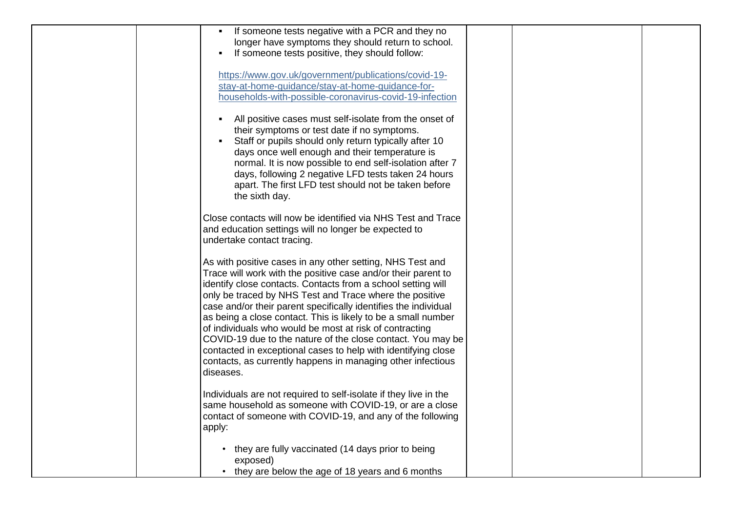| If someone tests negative with a PCR and they no<br>longer have symptoms they should return to school.<br>If someone tests positive, they should follow:                                                                                                                                                                                                                                                                                                                                                                                                                                                                                                         |
|------------------------------------------------------------------------------------------------------------------------------------------------------------------------------------------------------------------------------------------------------------------------------------------------------------------------------------------------------------------------------------------------------------------------------------------------------------------------------------------------------------------------------------------------------------------------------------------------------------------------------------------------------------------|
| https://www.gov.uk/government/publications/covid-19-<br>stay-at-home-guidance/stay-at-home-guidance-for-<br>households-with-possible-coronavirus-covid-19-infection                                                                                                                                                                                                                                                                                                                                                                                                                                                                                              |
| All positive cases must self-isolate from the onset of<br>their symptoms or test date if no symptoms.<br>Staff or pupils should only return typically after 10<br>days once well enough and their temperature is<br>normal. It is now possible to end self-isolation after 7<br>days, following 2 negative LFD tests taken 24 hours<br>apart. The first LFD test should not be taken before<br>the sixth day.                                                                                                                                                                                                                                                    |
| Close contacts will now be identified via NHS Test and Trace<br>and education settings will no longer be expected to<br>undertake contact tracing.                                                                                                                                                                                                                                                                                                                                                                                                                                                                                                               |
| As with positive cases in any other setting, NHS Test and<br>Trace will work with the positive case and/or their parent to<br>identify close contacts. Contacts from a school setting will<br>only be traced by NHS Test and Trace where the positive<br>case and/or their parent specifically identifies the individual<br>as being a close contact. This is likely to be a small number<br>of individuals who would be most at risk of contracting<br>COVID-19 due to the nature of the close contact. You may be<br>contacted in exceptional cases to help with identifying close<br>contacts, as currently happens in managing other infectious<br>diseases. |
| Individuals are not required to self-isolate if they live in the<br>same household as someone with COVID-19, or are a close<br>contact of someone with COVID-19, and any of the following<br>apply:                                                                                                                                                                                                                                                                                                                                                                                                                                                              |
| they are fully vaccinated (14 days prior to being<br>$\bullet$<br>exposed)<br>they are below the age of 18 years and 6 months                                                                                                                                                                                                                                                                                                                                                                                                                                                                                                                                    |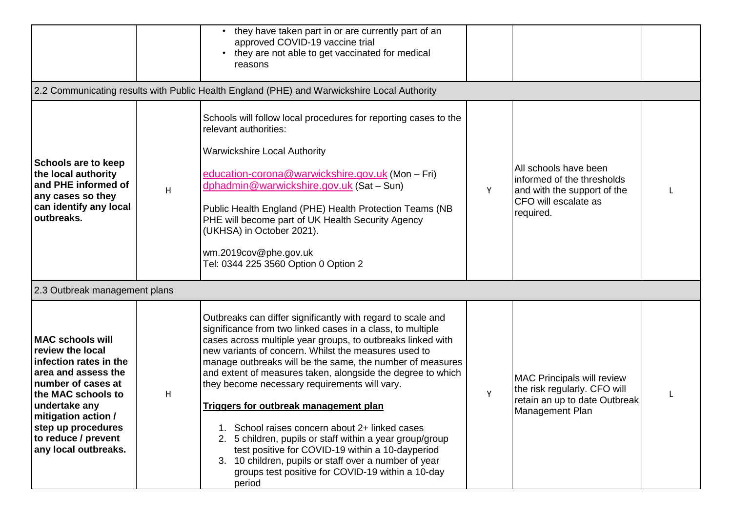|                                                                                                                                                                                                                                                       |   | they have taken part in or are currently part of an<br>$\bullet$<br>approved COVID-19 vaccine trial<br>they are not able to get vaccinated for medical<br>reasons                                                                                                                                                                                                                                                                                                                                                                                                                                                                                                                                                                                                    |   |                                                                                                                         |  |
|-------------------------------------------------------------------------------------------------------------------------------------------------------------------------------------------------------------------------------------------------------|---|----------------------------------------------------------------------------------------------------------------------------------------------------------------------------------------------------------------------------------------------------------------------------------------------------------------------------------------------------------------------------------------------------------------------------------------------------------------------------------------------------------------------------------------------------------------------------------------------------------------------------------------------------------------------------------------------------------------------------------------------------------------------|---|-------------------------------------------------------------------------------------------------------------------------|--|
|                                                                                                                                                                                                                                                       |   | 2.2 Communicating results with Public Health England (PHE) and Warwickshire Local Authority                                                                                                                                                                                                                                                                                                                                                                                                                                                                                                                                                                                                                                                                          |   |                                                                                                                         |  |
| Schools are to keep<br>the local authority<br>and PHE informed of<br>any cases so they<br>can identify any local<br>outbreaks.                                                                                                                        | H | Schools will follow local procedures for reporting cases to the<br>relevant authorities:<br><b>Warwickshire Local Authority</b><br>education-corona@warwickshire.gov.uk (Mon - Fri)<br>dphadmin@warwickshire.gov.uk (Sat-Sun)<br>Public Health England (PHE) Health Protection Teams (NB<br>PHE will become part of UK Health Security Agency<br>(UKHSA) in October 2021).<br>wm.2019cov@phe.gov.uk<br>Tel: 0344 225 3560 Option 0 Option 2                                                                                                                                                                                                                                                                                                                          | Y | All schools have been<br>informed of the thresholds<br>and with the support of the<br>CFO will escalate as<br>required. |  |
| 2.3 Outbreak management plans                                                                                                                                                                                                                         |   |                                                                                                                                                                                                                                                                                                                                                                                                                                                                                                                                                                                                                                                                                                                                                                      |   |                                                                                                                         |  |
| <b>MAC schools will</b><br>review the local<br>infection rates in the<br>area and assess the<br>number of cases at<br>the MAC schools to<br>undertake any<br>mitigation action /<br>step up procedures<br>to reduce / prevent<br>any local outbreaks. | H | Outbreaks can differ significantly with regard to scale and<br>significance from two linked cases in a class, to multiple<br>cases across multiple year groups, to outbreaks linked with<br>new variants of concern. Whilst the measures used to<br>manage outbreaks will be the same, the number of measures<br>and extent of measures taken, alongside the degree to which<br>they become necessary requirements will vary.<br><b>Triggers for outbreak management plan</b><br>School raises concern about 2+ linked cases<br>2. 5 children, pupils or staff within a year group/group<br>test positive for COVID-19 within a 10-dayperiod<br>3. 10 children, pupils or staff over a number of year<br>groups test positive for COVID-19 within a 10-day<br>period | Y | <b>MAC Principals will review</b><br>the risk regularly. CFO will<br>retain an up to date Outbreak<br>Management Plan   |  |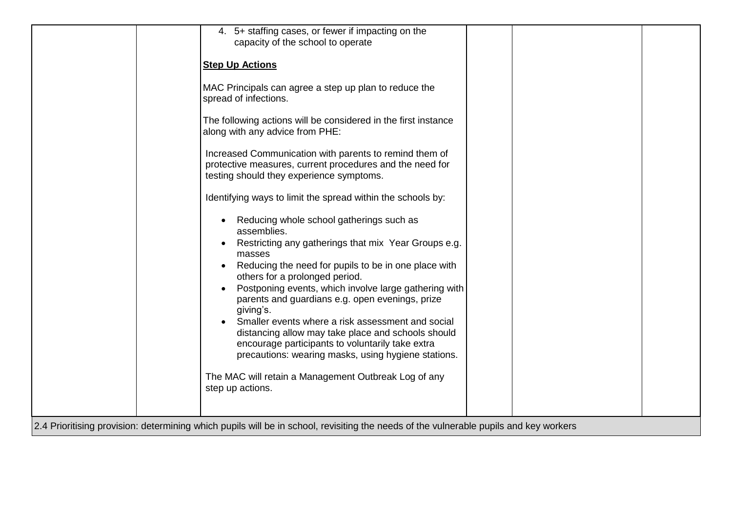| 4. 5+ staffing cases, or fewer if impacting on the                                                                                                                                                                 |  |
|--------------------------------------------------------------------------------------------------------------------------------------------------------------------------------------------------------------------|--|
| capacity of the school to operate                                                                                                                                                                                  |  |
| <b>Step Up Actions</b>                                                                                                                                                                                             |  |
| MAC Principals can agree a step up plan to reduce the<br>spread of infections.                                                                                                                                     |  |
| The following actions will be considered in the first instance<br>along with any advice from PHE:                                                                                                                  |  |
| Increased Communication with parents to remind them of<br>protective measures, current procedures and the need for<br>testing should they experience symptoms.                                                     |  |
| Identifying ways to limit the spread within the schools by:                                                                                                                                                        |  |
| Reducing whole school gatherings such as<br>$\bullet$<br>assemblies.                                                                                                                                               |  |
| Restricting any gatherings that mix Year Groups e.g.<br>$\bullet$<br>masses                                                                                                                                        |  |
| Reducing the need for pupils to be in one place with<br>$\bullet$<br>others for a prolonged period.                                                                                                                |  |
| Postponing events, which involve large gathering with<br>parents and guardians e.g. open evenings, prize<br>giving's.                                                                                              |  |
| Smaller events where a risk assessment and social<br>distancing allow may take place and schools should<br>encourage participants to voluntarily take extra<br>precautions: wearing masks, using hygiene stations. |  |
| The MAC will retain a Management Outbreak Log of any<br>step up actions.                                                                                                                                           |  |
|                                                                                                                                                                                                                    |  |
| 2.4 Prioritising provision: determining which pupils will be in school, revisiting the needs of the vulnerable pupils and key workers                                                                              |  |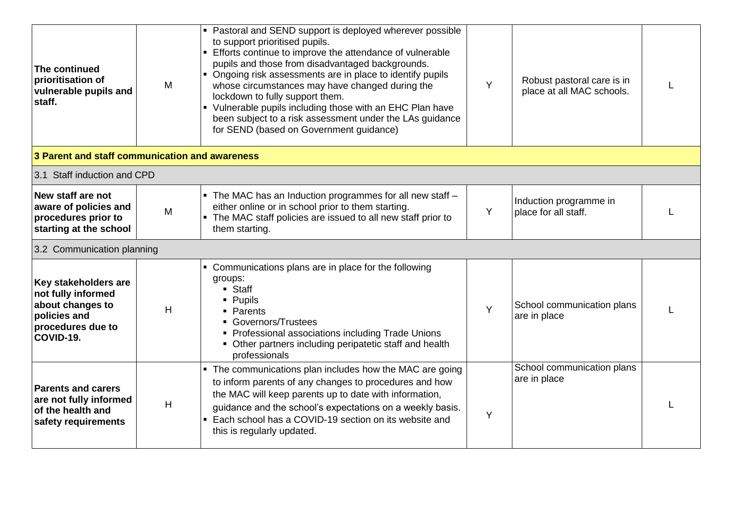| The continued<br>prioritisation of<br>vulnerable pupils and<br>staff.                                            | M | • Pastoral and SEND support is deployed wherever possible<br>to support prioritised pupils.<br>Efforts continue to improve the attendance of vulnerable<br>pupils and those from disadvantaged backgrounds.<br>• Ongoing risk assessments are in place to identify pupils<br>whose circumstances may have changed during the<br>lockdown to fully support them.<br>• Vulnerable pupils including those with an EHC Plan have<br>been subject to a risk assessment under the LAs guidance<br>for SEND (based on Government guidance) | Y | Robust pastoral care is in<br>place at all MAC schools. |  |
|------------------------------------------------------------------------------------------------------------------|---|-------------------------------------------------------------------------------------------------------------------------------------------------------------------------------------------------------------------------------------------------------------------------------------------------------------------------------------------------------------------------------------------------------------------------------------------------------------------------------------------------------------------------------------|---|---------------------------------------------------------|--|
| 3 Parent and staff communication and awareness                                                                   |   |                                                                                                                                                                                                                                                                                                                                                                                                                                                                                                                                     |   |                                                         |  |
| 3.1 Staff induction and CPD                                                                                      |   |                                                                                                                                                                                                                                                                                                                                                                                                                                                                                                                                     |   |                                                         |  |
| New staff are not<br>aware of policies and<br>procedures prior to<br>starting at the school                      | M | • The MAC has an Induction programmes for all new staff -<br>either online or in school prior to them starting.<br>• The MAC staff policies are issued to all new staff prior to<br>them starting.                                                                                                                                                                                                                                                                                                                                  | Y | Induction programme in<br>place for all staff.          |  |
| 3.2 Communication planning                                                                                       |   |                                                                                                                                                                                                                                                                                                                                                                                                                                                                                                                                     |   |                                                         |  |
| Key stakeholders are<br>not fully informed<br>about changes to<br>policies and<br>procedures due to<br>COVID-19. | H | • Communications plans are in place for the following<br>groups:<br>• Staff<br>• Pupils<br>• Parents<br>• Governors/Trustees<br>• Professional associations including Trade Unions<br>• Other partners including peripatetic staff and health<br>professionals                                                                                                                                                                                                                                                                      | Y | School communication plans<br>are in place              |  |
| <b>Parents and carers</b><br>are not fully informed<br>of the health and<br>safety requirements                  | H | • The communications plan includes how the MAC are going<br>to inform parents of any changes to procedures and how<br>the MAC will keep parents up to date with information,<br>guidance and the school's expectations on a weekly basis.<br>• Each school has a COVID-19 section on its website and<br>this is regularly updated.                                                                                                                                                                                                  | Y | School communication plans<br>are in place              |  |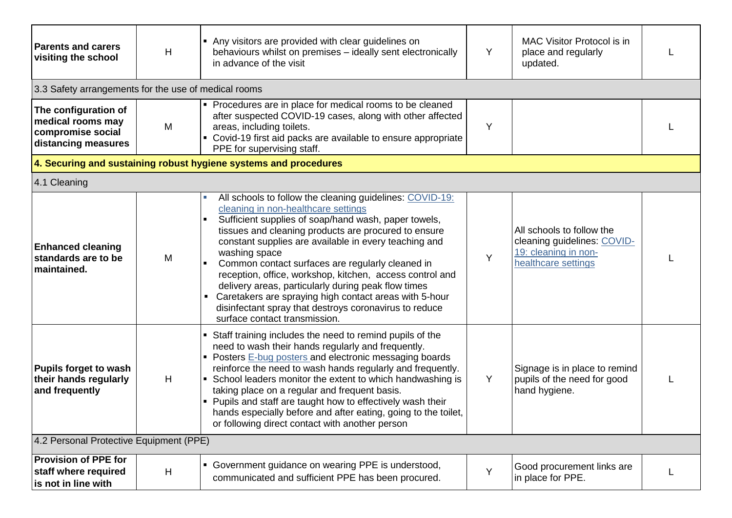| <b>Parents and carers</b><br><b>visiting the school</b>                               | H | • Any visitors are provided with clear guidelines on<br>behaviours whilst on premises - ideally sent electronically<br>in advance of the visit                                                                                                                                                                                                                                                                                                                                                                                                                                                                                          | Y | <b>MAC Visitor Protocol is in</b><br>place and regularly<br>updated.                                    |  |
|---------------------------------------------------------------------------------------|---|-----------------------------------------------------------------------------------------------------------------------------------------------------------------------------------------------------------------------------------------------------------------------------------------------------------------------------------------------------------------------------------------------------------------------------------------------------------------------------------------------------------------------------------------------------------------------------------------------------------------------------------------|---|---------------------------------------------------------------------------------------------------------|--|
| 3.3 Safety arrangements for the use of medical rooms                                  |   |                                                                                                                                                                                                                                                                                                                                                                                                                                                                                                                                                                                                                                         |   |                                                                                                         |  |
| The configuration of<br>medical rooms may<br>compromise social<br>distancing measures | M | • Procedures are in place for medical rooms to be cleaned<br>after suspected COVID-19 cases, along with other affected<br>areas, including toilets.<br>Covid-19 first aid packs are available to ensure appropriate<br>PPE for supervising staff.                                                                                                                                                                                                                                                                                                                                                                                       | Y |                                                                                                         |  |
|                                                                                       |   | 4. Securing and sustaining robust hygiene systems and procedures                                                                                                                                                                                                                                                                                                                                                                                                                                                                                                                                                                        |   |                                                                                                         |  |
| 4.1 Cleaning                                                                          |   |                                                                                                                                                                                                                                                                                                                                                                                                                                                                                                                                                                                                                                         |   |                                                                                                         |  |
| <b>Enhanced cleaning</b><br>standards are to be<br>maintained.                        | M | All schools to follow the cleaning guidelines: COVID-19:<br>cleaning in non-healthcare settings<br>Sufficient supplies of soap/hand wash, paper towels,<br>$\blacksquare$<br>tissues and cleaning products are procured to ensure<br>constant supplies are available in every teaching and<br>washing space<br>Common contact surfaces are regularly cleaned in<br>reception, office, workshop, kitchen, access control and<br>delivery areas, particularly during peak flow times<br>Caretakers are spraying high contact areas with 5-hour<br>disinfectant spray that destroys coronavirus to reduce<br>surface contact transmission. | Y | All schools to follow the<br>cleaning guidelines: COVID-<br>19: cleaning in non-<br>healthcare settings |  |
| Pupils forget to wash<br>their hands regularly<br>and frequently                      | H | Staff training includes the need to remind pupils of the<br>need to wash their hands regularly and frequently.<br>• Posters E-bug posters and electronic messaging boards<br>reinforce the need to wash hands regularly and frequently.<br>• School leaders monitor the extent to which handwashing is<br>taking place on a regular and frequent basis.<br>Pupils and staff are taught how to effectively wash their<br>hands especially before and after eating, going to the toilet,<br>or following direct contact with another person                                                                                               | Y | Signage is in place to remind<br>pupils of the need for good<br>hand hygiene.                           |  |
| 4.2 Personal Protective Equipment (PPE)                                               |   |                                                                                                                                                                                                                                                                                                                                                                                                                                                                                                                                                                                                                                         |   |                                                                                                         |  |
| <b>Provision of PPE for</b><br>staff where required<br>is not in line with            | H | • Government guidance on wearing PPE is understood,<br>communicated and sufficient PPE has been procured.                                                                                                                                                                                                                                                                                                                                                                                                                                                                                                                               | Y | Good procurement links are<br>in place for PPE.                                                         |  |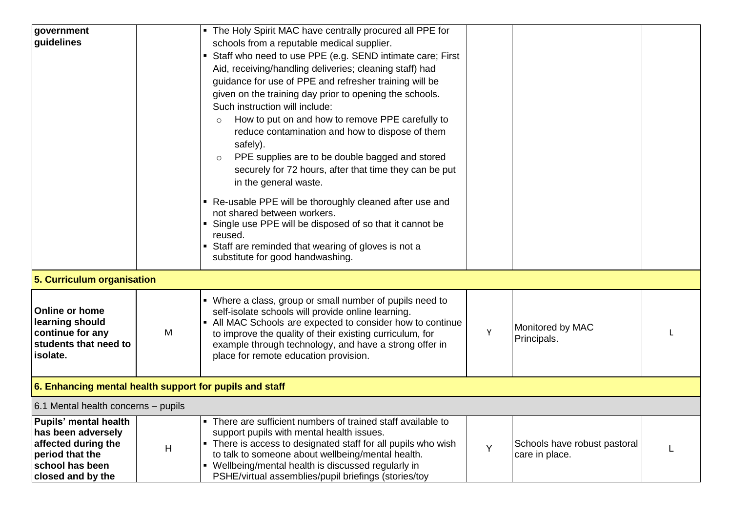| government                                              |   | • The Holy Spirit MAC have centrally procured all PPE for                   |   |                                 |  |  |
|---------------------------------------------------------|---|-----------------------------------------------------------------------------|---|---------------------------------|--|--|
| guidelines                                              |   | schools from a reputable medical supplier.                                  |   |                                 |  |  |
|                                                         |   | Staff who need to use PPE (e.g. SEND intimate care; First<br>$\blacksquare$ |   |                                 |  |  |
|                                                         |   | Aid, receiving/handling deliveries; cleaning staff) had                     |   |                                 |  |  |
|                                                         |   | guidance for use of PPE and refresher training will be                      |   |                                 |  |  |
|                                                         |   | given on the training day prior to opening the schools.                     |   |                                 |  |  |
|                                                         |   | Such instruction will include:                                              |   |                                 |  |  |
|                                                         |   | How to put on and how to remove PPE carefully to<br>$\circ$                 |   |                                 |  |  |
|                                                         |   | reduce contamination and how to dispose of them                             |   |                                 |  |  |
|                                                         |   | safely).                                                                    |   |                                 |  |  |
|                                                         |   | PPE supplies are to be double bagged and stored                             |   |                                 |  |  |
|                                                         |   | $\circ$                                                                     |   |                                 |  |  |
|                                                         |   | securely for 72 hours, after that time they can be put                      |   |                                 |  |  |
|                                                         |   | in the general waste.                                                       |   |                                 |  |  |
|                                                         |   | Re-usable PPE will be thoroughly cleaned after use and                      |   |                                 |  |  |
|                                                         |   | not shared between workers.                                                 |   |                                 |  |  |
|                                                         |   | • Single use PPE will be disposed of so that it cannot be                   |   |                                 |  |  |
|                                                         |   | reused.                                                                     |   |                                 |  |  |
|                                                         |   | • Staff are reminded that wearing of gloves is not a                        |   |                                 |  |  |
|                                                         |   | substitute for good handwashing.                                            |   |                                 |  |  |
| 5. Curriculum organisation                              |   |                                                                             |   |                                 |  |  |
|                                                         |   | • Where a class, group or small number of pupils need to                    |   |                                 |  |  |
| <b>Online or home</b>                                   |   | self-isolate schools will provide online learning.                          |   |                                 |  |  |
| learning should                                         |   | • All MAC Schools are expected to consider how to continue                  |   |                                 |  |  |
| continue for any                                        | M | to improve the quality of their existing curriculum, for                    | Y | Monitored by MAC<br>Principals. |  |  |
| students that need to                                   |   | example through technology, and have a strong offer in                      |   |                                 |  |  |
| isolate.                                                |   | place for remote education provision.                                       |   |                                 |  |  |
|                                                         |   |                                                                             |   |                                 |  |  |
| 6. Enhancing mental health support for pupils and staff |   |                                                                             |   |                                 |  |  |
| 6.1 Mental health concerns - pupils                     |   |                                                                             |   |                                 |  |  |
| <b>Pupils' mental health</b>                            |   | • There are sufficient numbers of trained staff available to                |   |                                 |  |  |
| has been adversely                                      |   | support pupils with mental health issues.                                   |   |                                 |  |  |
| affected during the                                     | H | • There is access to designated staff for all pupils who wish               | Y | Schools have robust pastoral    |  |  |
| period that the                                         |   | to talk to someone about wellbeing/mental health.                           |   | care in place.                  |  |  |
| school has been                                         |   | • Wellbeing/mental health is discussed regularly in                         |   |                                 |  |  |
| closed and by the                                       |   | PSHE/virtual assemblies/pupil briefings (stories/toy                        |   |                                 |  |  |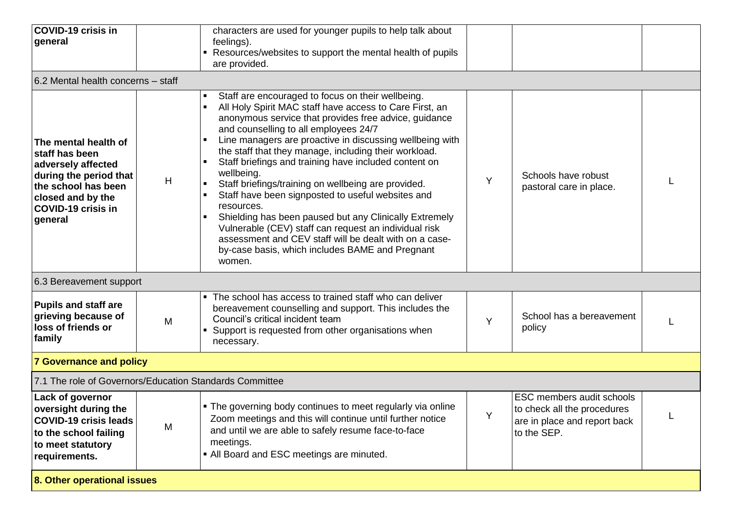| <b>COVID-19 crisis in</b><br>general                                                                                                                                       |   | characters are used for younger pupils to help talk about<br>feelings).<br>• Resources/websites to support the mental health of pupils<br>are provided.                                                                                                                                                                                                                                                                                                                                                                                                                                                                                                                                                                                                                        |   |                                                                                                         |  |
|----------------------------------------------------------------------------------------------------------------------------------------------------------------------------|---|--------------------------------------------------------------------------------------------------------------------------------------------------------------------------------------------------------------------------------------------------------------------------------------------------------------------------------------------------------------------------------------------------------------------------------------------------------------------------------------------------------------------------------------------------------------------------------------------------------------------------------------------------------------------------------------------------------------------------------------------------------------------------------|---|---------------------------------------------------------------------------------------------------------|--|
| 6.2 Mental health concerns - staff                                                                                                                                         |   |                                                                                                                                                                                                                                                                                                                                                                                                                                                                                                                                                                                                                                                                                                                                                                                |   |                                                                                                         |  |
| The mental health of<br>staff has been<br>adversely affected<br>during the period that<br>the school has been<br>closed and by the<br><b>COVID-19 crisis in</b><br>general | H | Staff are encouraged to focus on their wellbeing.<br>All Holy Spirit MAC staff have access to Care First, an<br>anonymous service that provides free advice, guidance<br>and counselling to all employees 24/7<br>Line managers are proactive in discussing wellbeing with<br>the staff that they manage, including their workload.<br>Staff briefings and training have included content on<br>wellbeing.<br>Staff briefings/training on wellbeing are provided.<br>Staff have been signposted to useful websites and<br>resources.<br>Shielding has been paused but any Clinically Extremely<br>Vulnerable (CEV) staff can request an individual risk<br>assessment and CEV staff will be dealt with on a case-<br>by-case basis, which includes BAME and Pregnant<br>women. | Y | Schools have robust<br>pastoral care in place.                                                          |  |
| 6.3 Bereavement support                                                                                                                                                    |   |                                                                                                                                                                                                                                                                                                                                                                                                                                                                                                                                                                                                                                                                                                                                                                                |   |                                                                                                         |  |
| <b>Pupils and staff are</b><br>grieving because of<br>loss of friends or<br>family                                                                                         | M | The school has access to trained staff who can deliver<br>$\blacksquare$<br>bereavement counselling and support. This includes the<br>Council's critical incident team<br>Support is requested from other organisations when<br>necessary.                                                                                                                                                                                                                                                                                                                                                                                                                                                                                                                                     | Y | School has a bereavement<br>policy                                                                      |  |
| <b>7 Governance and policy</b>                                                                                                                                             |   |                                                                                                                                                                                                                                                                                                                                                                                                                                                                                                                                                                                                                                                                                                                                                                                |   |                                                                                                         |  |
| 7.1 The role of Governors/Education Standards Committee                                                                                                                    |   |                                                                                                                                                                                                                                                                                                                                                                                                                                                                                                                                                                                                                                                                                                                                                                                |   |                                                                                                         |  |
| Lack of governor<br>oversight during the<br><b>COVID-19 crisis leads</b><br>to the school failing<br>to meet statutory<br>requirements.                                    | M | . The governing body continues to meet regularly via online<br>Zoom meetings and this will continue until further notice<br>and until we are able to safely resume face-to-face<br>meetings.<br>• All Board and ESC meetings are minuted.                                                                                                                                                                                                                                                                                                                                                                                                                                                                                                                                      | Y | ESC members audit schools<br>to check all the procedures<br>are in place and report back<br>to the SEP. |  |
| 8. Other operational issues                                                                                                                                                |   |                                                                                                                                                                                                                                                                                                                                                                                                                                                                                                                                                                                                                                                                                                                                                                                |   |                                                                                                         |  |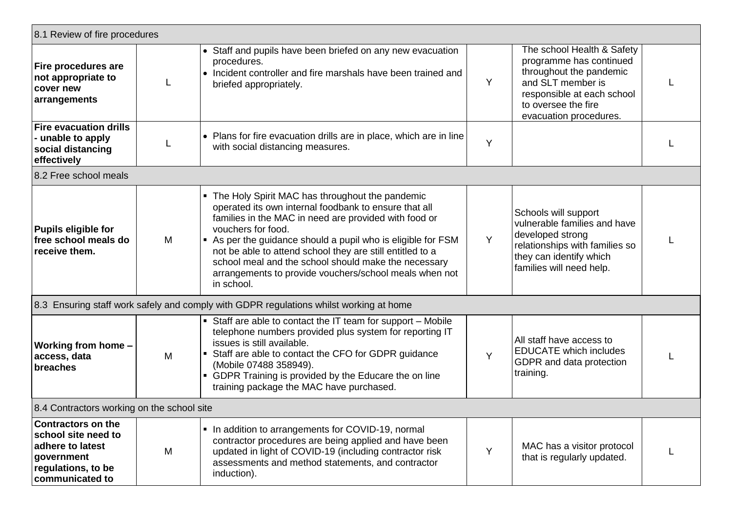| 8.1 Review of fire procedures                                                                                               |   |                                                                                                                                                                                                                                                                                                                                                                                                                                                      |   |                                                                                                                                                                                      |  |
|-----------------------------------------------------------------------------------------------------------------------------|---|------------------------------------------------------------------------------------------------------------------------------------------------------------------------------------------------------------------------------------------------------------------------------------------------------------------------------------------------------------------------------------------------------------------------------------------------------|---|--------------------------------------------------------------------------------------------------------------------------------------------------------------------------------------|--|
| Fire procedures are<br>not appropriate to<br>cover new<br>arrangements                                                      |   | • Staff and pupils have been briefed on any new evacuation<br>procedures.<br>• Incident controller and fire marshals have been trained and<br>briefed appropriately.                                                                                                                                                                                                                                                                                 | Y | The school Health & Safety<br>programme has continued<br>throughout the pandemic<br>and SLT member is<br>responsible at each school<br>to oversee the fire<br>evacuation procedures. |  |
| <b>Fire evacuation drills</b><br>- unable to apply<br>social distancing<br>effectively                                      |   | • Plans for fire evacuation drills are in place, which are in line<br>with social distancing measures.                                                                                                                                                                                                                                                                                                                                               | Y |                                                                                                                                                                                      |  |
| 8.2 Free school meals                                                                                                       |   |                                                                                                                                                                                                                                                                                                                                                                                                                                                      |   |                                                                                                                                                                                      |  |
| <b>Pupils eligible for</b><br>free school meals do<br>receive them.                                                         | M | • The Holy Spirit MAC has throughout the pandemic<br>operated its own internal foodbank to ensure that all<br>families in the MAC in need are provided with food or<br>vouchers for food.<br>As per the guidance should a pupil who is eligible for FSM<br>not be able to attend school they are still entitled to a<br>school meal and the school should make the necessary<br>arrangements to provide vouchers/school meals when not<br>in school. | Y | Schools will support<br>vulnerable families and have<br>developed strong<br>relationships with families so<br>they can identify which<br>families will need help.                    |  |
|                                                                                                                             |   | 8.3 Ensuring staff work safely and comply with GDPR regulations whilst working at home                                                                                                                                                                                                                                                                                                                                                               |   |                                                                                                                                                                                      |  |
| Working from home -<br>access, data<br>breaches                                                                             | M | • Staff are able to contact the IT team for support - Mobile<br>telephone numbers provided plus system for reporting IT<br>issues is still available.<br>• Staff are able to contact the CFO for GDPR guidance<br>(Mobile 07488 358949).<br>• GDPR Training is provided by the Educare the on line<br>training package the MAC have purchased.                                                                                                       | Y | All staff have access to<br><b>EDUCATE</b> which includes<br>GDPR and data protection<br>training.                                                                                   |  |
| 8.4 Contractors working on the school site                                                                                  |   |                                                                                                                                                                                                                                                                                                                                                                                                                                                      |   |                                                                                                                                                                                      |  |
| <b>Contractors on the</b><br>school site need to<br>adhere to latest<br>government<br>regulations, to be<br>communicated to | M | • In addition to arrangements for COVID-19, normal<br>contractor procedures are being applied and have been<br>updated in light of COVID-19 (including contractor risk<br>assessments and method statements, and contractor<br>induction).                                                                                                                                                                                                           | Y | MAC has a visitor protocol<br>that is regularly updated.                                                                                                                             |  |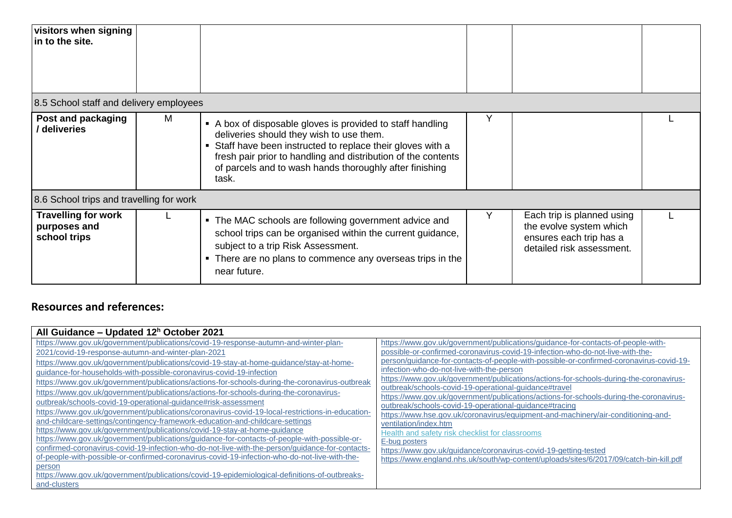| visitors when signing<br>in to the site.                   |   |                                                                                                                                                                                                                                                                                                          |                                                                                                               |  |
|------------------------------------------------------------|---|----------------------------------------------------------------------------------------------------------------------------------------------------------------------------------------------------------------------------------------------------------------------------------------------------------|---------------------------------------------------------------------------------------------------------------|--|
| 8.5 School staff and delivery employees                    |   |                                                                                                                                                                                                                                                                                                          |                                                                                                               |  |
| Post and packaging<br>/ deliveries                         | м | • A box of disposable gloves is provided to staff handling<br>deliveries should they wish to use them.<br>Staff have been instructed to replace their gloves with a<br>fresh pair prior to handling and distribution of the contents<br>of parcels and to wash hands thoroughly after finishing<br>task. |                                                                                                               |  |
| 8.6 School trips and travelling for work                   |   |                                                                                                                                                                                                                                                                                                          |                                                                                                               |  |
| <b>Travelling for work</b><br>purposes and<br>school trips |   | • The MAC schools are following government advice and<br>school trips can be organised within the current guidance,<br>subject to a trip Risk Assessment.<br>• There are no plans to commence any overseas trips in the<br>near future.                                                                  | Each trip is planned using<br>the evolve system which<br>ensures each trip has a<br>detailed risk assessment. |  |

## **Resources and references:**

| All Guidance - Updated 12 <sup>h</sup> October 2021                                                                                                                                                                                                                                                                                                                                                                                                                                                                                                                                                                                                                                                                                                                                                                                                                                                                                                                                                                                                                                                                                                                                                                                                                          |                                                                                                                                                                                                                                                                                                                                                                                                                                                                                                                                                                                                                                                                                                                                                                                                                                                                                                                                                                 |
|------------------------------------------------------------------------------------------------------------------------------------------------------------------------------------------------------------------------------------------------------------------------------------------------------------------------------------------------------------------------------------------------------------------------------------------------------------------------------------------------------------------------------------------------------------------------------------------------------------------------------------------------------------------------------------------------------------------------------------------------------------------------------------------------------------------------------------------------------------------------------------------------------------------------------------------------------------------------------------------------------------------------------------------------------------------------------------------------------------------------------------------------------------------------------------------------------------------------------------------------------------------------------|-----------------------------------------------------------------------------------------------------------------------------------------------------------------------------------------------------------------------------------------------------------------------------------------------------------------------------------------------------------------------------------------------------------------------------------------------------------------------------------------------------------------------------------------------------------------------------------------------------------------------------------------------------------------------------------------------------------------------------------------------------------------------------------------------------------------------------------------------------------------------------------------------------------------------------------------------------------------|
| https://www.gov.uk/government/publications/covid-19-response-autumn-and-winter-plan-<br>2021/covid-19-response-autumn-and-winter-plan-2021<br>https://www.gov.uk/government/publications/covid-19-stay-at-home-guidance/stay-at-home-<br>guidance-for-households-with-possible-coronavirus-covid-19-infection<br>https://www.gov.uk/government/publications/actions-for-schools-during-the-coronavirus-outbreak<br>https://www.gov.uk/government/publications/actions-for-schools-during-the-coronavirus-<br>outbreak/schools-covid-19-operational-quidance#risk-assessment<br>https://www.gov.uk/government/publications/coronavirus-covid-19-local-restrictions-in-education-<br>and-childcare-settings/contingency-framework-education-and-childcare-settings<br>https://www.gov.uk/government/publications/covid-19-stay-at-home-guidance<br>https://www.gov.uk/government/publications/guidance-for-contacts-of-people-with-possible-or-<br>confirmed-coronavirus-covid-19-infection-who-do-not-live-with-the-person/guidance-for-contacts-<br>of-people-with-possible-or-confirmed-coronavirus-covid-19-infection-who-do-not-live-with-the-<br>person<br>https://www.gov.uk/government/publications/covid-19-epidemiological-definitions-of-outbreaks-<br>and-clusters | https://www.gov.uk/government/publications/guidance-for-contacts-of-people-with-<br>possible-or-confirmed-coronavirus-covid-19-infection-who-do-not-live-with-the-<br>person/guidance-for-contacts-of-people-with-possible-or-confirmed-coronavirus-covid-19-<br>infection-who-do-not-live-with-the-person<br>https://www.gov.uk/government/publications/actions-for-schools-during-the-coronavirus-<br>outbreak/schools-covid-19-operational-guidance#travel<br>https://www.gov.uk/government/publications/actions-for-schools-during-the-coronavirus-<br>outbreak/schools-covid-19-operational-quidance#tracing<br>https://www.hse.gov.uk/coronavirus/equipment-and-machinery/air-conditioning-and-<br>ventilation/index.htm<br>Health and safety risk checklist for classrooms<br>E-bug posters<br>https://www.gov.uk/guidance/coronavirus-covid-19-getting-tested<br>https://www.england.nhs.uk/south/wp-content/uploads/sites/6/2017/09/catch-bin-kill.pdf |